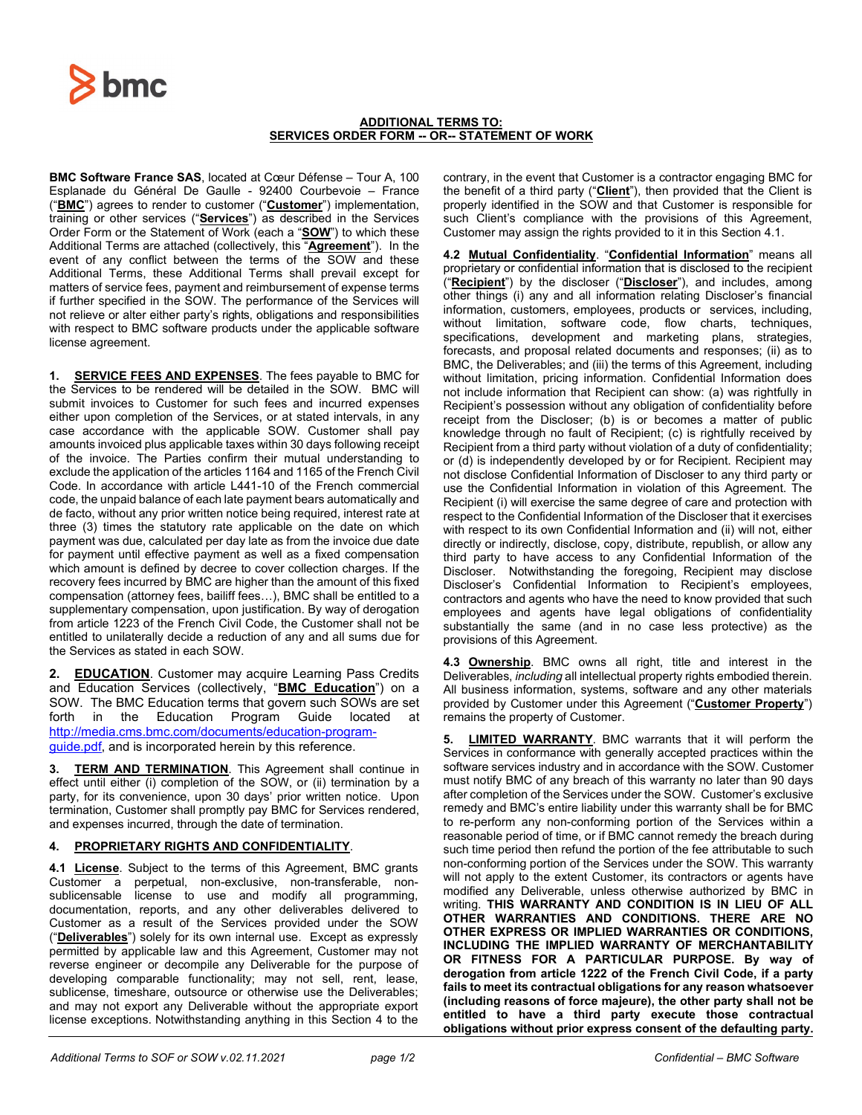

## **ADDITIONAL TERMS TO: SERVICES ORDER FORM -- OR-- STATEMENT OF WORK**

**BMC Software France SAS**, located at Cœur Défense – Tour A, 100 Esplanade du Général De Gaulle - 92400 Courbevoie – France ("**BMC**") agrees to render to customer ("**Customer**") implementation, training or other services ("**Services**") as described in the Services Order Form or the Statement of Work (each a "**SOW**") to which these Additional Terms are attached (collectively, this "**Agreement**"). In the event of any conflict between the terms of the SOW and these Additional Terms, these Additional Terms shall prevail except for matters of service fees, payment and reimbursement of expense terms if further specified in the SOW. The performance of the Services will not relieve or alter either party's rights, obligations and responsibilities with respect to BMC software products under the applicable software license agreement.

**1. SERVICE FEES AND EXPENSES**. The fees payable to BMC for the Services to be rendered will be detailed in the SOW. BMC will submit invoices to Customer for such fees and incurred expenses either upon completion of the Services, or at stated intervals, in any case accordance with the applicable SOW. Customer shall pay amounts invoiced plus applicable taxes within 30 days following receipt of the invoice. The Parties confirm their mutual understanding to exclude the application of the articles 1164 and 1165 of the French Civil Code. In accordance with article L441-10 of the French commercial code, the unpaid balance of each late payment bears automatically and de facto, without any prior written notice being required, interest rate at three (3) times the statutory rate applicable on the date on which payment was due, calculated per day late as from the invoice due date for payment until effective payment as well as a fixed compensation which amount is defined by decree to cover collection charges. If the recovery fees incurred by BMC are higher than the amount of this fixed compensation (attorney fees, bailiff fees…), BMC shall be entitled to a supplementary compensation, upon justification. By way of derogation from article 1223 of the French Civil Code, the Customer shall not be entitled to unilaterally decide a reduction of any and all sums due for the Services as stated in each SOW.

**2. EDUCATION**. Customer may acquire Learning Pass Credits and Education Services (collectively, "**BMC Education**") on a SOW. The BMC Education terms that govern such SOWs are set forth in the Education Program Guide located at [http://media.cms.bmc.com/documents/education-program](http://media.cms.bmc.com/documents/education-program-guide.pdf)[guide.pdf,](http://media.cms.bmc.com/documents/education-program-guide.pdf) and is incorporated herein by this reference.

**3. TERM AND TERMINATION**. This Agreement shall continue in effect until either (i) completion of the SOW, or (ii) termination by a party, for its convenience, upon 30 days' prior written notice. Upon termination, Customer shall promptly pay BMC for Services rendered, and expenses incurred, through the date of termination.

## **4. PROPRIETARY RIGHTS AND CONFIDENTIALITY**.

**4.1 License**. Subject to the terms of this Agreement, BMC grants Customer a perpetual, non-exclusive, non-transferable, nonsublicensable license to use and modify all programming, documentation, reports, and any other deliverables delivered to Customer as a result of the Services provided under the SOW ("**Deliverables**") solely for its own internal use. Except as expressly permitted by applicable law and this Agreement, Customer may not reverse engineer or decompile any Deliverable for the purpose of developing comparable functionality; may not sell, rent, lease, sublicense, timeshare, outsource or otherwise use the Deliverables; and may not export any Deliverable without the appropriate export license exceptions. Notwithstanding anything in this Section 4 to the

contrary, in the event that Customer is a contractor engaging BMC for the benefit of a third party ("**Client**"), then provided that the Client is properly identified in the SOW and that Customer is responsible for such Client's compliance with the provisions of this Agreement, Customer may assign the rights provided to it in this Section 4.1.

**4.2 Mutual Confidentiality**. "**Confidential Information**" means all proprietary or confidential information that is disclosed to the recipient ("**Recipient**") by the discloser ("**Discloser**"), and includes, among other things (i) any and all information relating Discloser's financial information, customers, employees, products or services, including, without limitation, software code, flow charts, techniques, specifications, development and marketing plans, strategies, forecasts, and proposal related documents and responses; (ii) as to BMC, the Deliverables; and (iii) the terms of this Agreement, including without limitation, pricing information. Confidential Information does not include information that Recipient can show: (a) was rightfully in Recipient's possession without any obligation of confidentiality before receipt from the Discloser; (b) is or becomes a matter of public knowledge through no fault of Recipient; (c) is rightfully received by Recipient from a third party without violation of a duty of confidentiality; or (d) is independently developed by or for Recipient. Recipient may not disclose Confidential Information of Discloser to any third party or use the Confidential Information in violation of this Agreement. The Recipient (i) will exercise the same degree of care and protection with respect to the Confidential Information of the Discloser that it exercises with respect to its own Confidential Information and (ii) will not, either directly or indirectly, disclose, copy, distribute, republish, or allow any third party to have access to any Confidential Information of the Discloser. Notwithstanding the foregoing, Recipient may disclose Discloser's Confidential Information to Recipient's employees, contractors and agents who have the need to know provided that such employees and agents have legal obligations of confidentiality substantially the same (and in no case less protective) as the provisions of this Agreement.

**4.3 Ownership**. BMC owns all right, title and interest in the Deliverables, *including* all intellectual property rights embodied therein. All business information, systems, software and any other materials provided by Customer under this Agreement ("**Customer Property**") remains the property of Customer.

**5. LIMITED WARRANTY**. BMC warrants that it will perform the Services in conformance with generally accepted practices within the software services industry and in accordance with the SOW. Customer must notify BMC of any breach of this warranty no later than 90 days after completion of the Services under the SOW. Customer's exclusive remedy and BMC's entire liability under this warranty shall be for BMC to re-perform any non-conforming portion of the Services within a reasonable period of time, or if BMC cannot remedy the breach during such time period then refund the portion of the fee attributable to such non-conforming portion of the Services under the SOW. This warranty will not apply to the extent Customer, its contractors or agents have modified any Deliverable, unless otherwise authorized by BMC in writing. **THIS WARRANTY AND CONDITION IS IN LIEU OF ALL OTHER WARRANTIES AND CONDITIONS. THERE ARE NO OTHER EXPRESS OR IMPLIED WARRANTIES OR CONDITIONS, INCLUDING THE IMPLIED WARRANTY OF MERCHANTABILITY OR FITNESS FOR A PARTICULAR PURPOSE. By way of derogation from article 1222 of the French Civil Code, if a party fails to meet its contractual obligations for any reason whatsoever (including reasons of force majeure), the other party shall not be entitled to have a third party execute those contractual obligations without prior express consent of the defaulting party.**